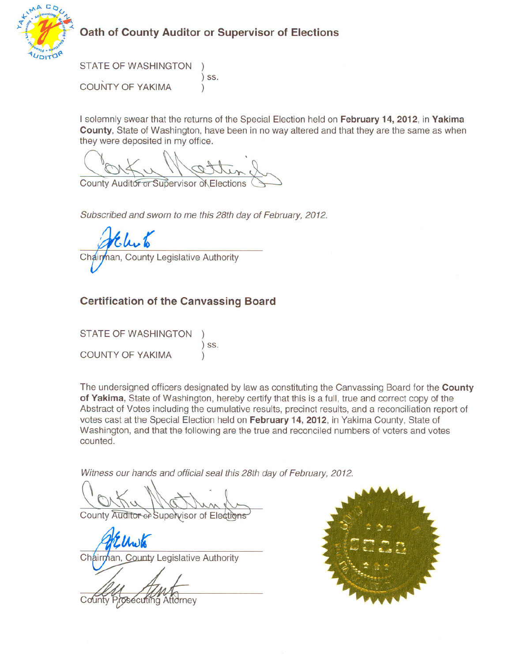

## Oath of County Auditor or Supervisor of Elections

**STATE OF WASHINGTON**  $)$  SS. **COUNTY OF YAKIMA**  $\lambda$ 

I solemnly swear that the returns of the Special Election held on February 14, 2012, in Yakima County, State of Washington, have been in no way altered and that they are the same as when they were deposited in my office.

County Auditor or Supervisor of Elections

Subscribed and sworn to me this 28th day of February, 2012.

Chair **County Legislative Authority** 

## **Certification of the Canvassing Board**

**STATE OF WASHINGTON**  $)$  SS. COUNTY OF YAKIMA

The undersigned officers designated by law as constituting the Canvassing Board for the County of Yakima, State of Washington, hereby certify that this is a full, true and correct copy of the Abstract of Votes including the cumulative results, precinct results, and a reconciliation report of votes cast at the Special Election held on February 14, 2012, in Yakima County, State of Washington, and that the following are the true and reconciled numbers of voters and votes counted.

Witness our hands and official seal this 28th day of February, 2012.

County Auditor of Supervisor of Elections

Chairman, County Legislative Authority

sécutina Att∂rnev

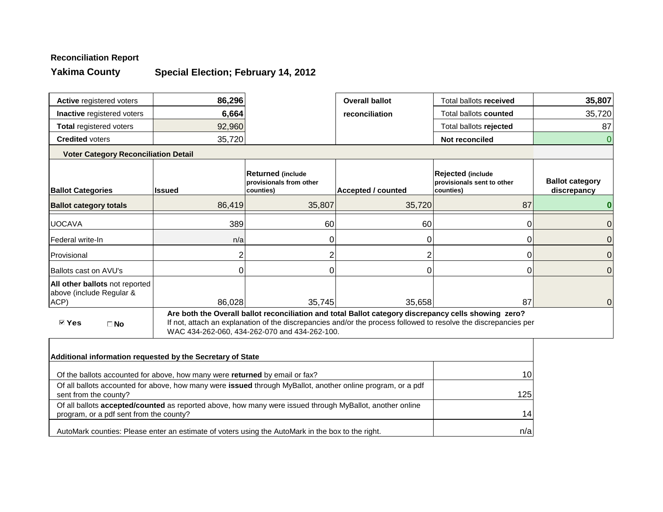# **Reconciliation Report**

**Yakima County**

# **Special Election; February 14, 2012**

| Active registered voters                                           | 86,296        |                                                                  | <b>Overall ballot</b>                                                                                | Total ballots received                                                                                          | 35,807                                |
|--------------------------------------------------------------------|---------------|------------------------------------------------------------------|------------------------------------------------------------------------------------------------------|-----------------------------------------------------------------------------------------------------------------|---------------------------------------|
| Inactive registered voters                                         | 6,664         |                                                                  | reconciliation                                                                                       | Total ballots counted                                                                                           | 35,720                                |
| <b>Total registered voters</b>                                     | 92,960        |                                                                  |                                                                                                      | Total ballots rejected                                                                                          | 87                                    |
| <b>Credited voters</b>                                             | 35,720        |                                                                  |                                                                                                      | Not reconciled                                                                                                  | 0                                     |
| <b>Voter Category Reconciliation Detail</b>                        |               |                                                                  |                                                                                                      |                                                                                                                 |                                       |
| <b>Ballot Categories</b>                                           | <b>Issued</b> | <b>Returned (include</b><br>provisionals from other<br>counties) | <b>Accepted / counted</b>                                                                            | Rejected (include<br>provisionals sent to other<br>counties)                                                    | <b>Ballot category</b><br>discrepancy |
| <b>Ballot category totals</b>                                      | 86,419        | 35,807                                                           | 35,720                                                                                               | 87                                                                                                              |                                       |
| <b>UOCAVA</b>                                                      | 389           | 60                                                               | 60                                                                                                   | 0                                                                                                               | 0                                     |
| Federal write-In                                                   | n/a           |                                                                  |                                                                                                      |                                                                                                                 | 0                                     |
| Provisional                                                        |               |                                                                  |                                                                                                      |                                                                                                                 | $\overline{0}$                        |
| <b>Ballots cast on AVU's</b>                                       |               |                                                                  |                                                                                                      |                                                                                                                 | 0                                     |
| All other ballots not reported<br>above (include Regular &<br>ACP) | 86,028        | 35,745                                                           | 35,658                                                                                               | 87                                                                                                              | 0                                     |
| <b>☑ Yes</b><br>$\Box$ No                                          |               | WAC 434-262-060, 434-262-070 and 434-262-100.                    | Are both the Overall ballot reconciliation and total Ballot category discrepancy cells showing zero? | If not, attach an explanation of the discrepancies and/or the process followed to resolve the discrepancies per |                                       |
|                                                                    |               |                                                                  |                                                                                                      |                                                                                                                 |                                       |

| Additional information requested by the Secretary of State                                                                                                 |                 |
|------------------------------------------------------------------------------------------------------------------------------------------------------------|-----------------|
| Of the ballots accounted for above, how many were returned by email or fax?                                                                                | 10 <sup>1</sup> |
| Of all ballots accounted for above, how many were issued through MyBallot, another online program, or a pdf<br>sent from the county?                       | 1251            |
| Of all ballots <b>accepted/counted</b> as reported above, how many were issued through MyBallot, another online<br>program, or a pdf sent from the county? | 14 <sub>1</sub> |
| AutoMark counties: Please enter an estimate of voters using the AutoMark in the box to the right.                                                          | n/a             |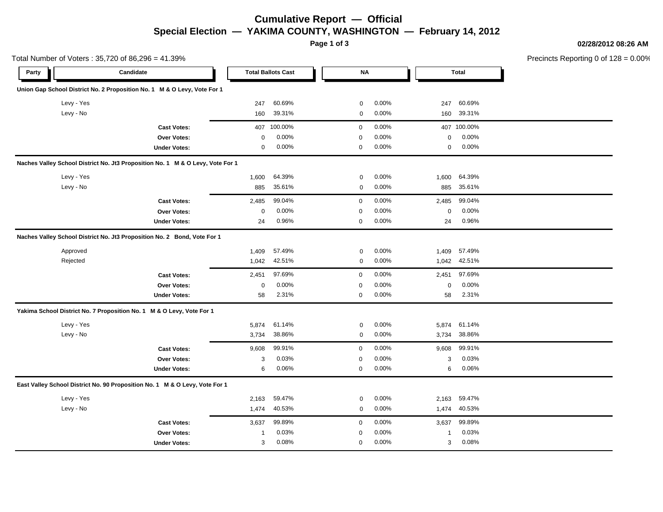### **Cumulative Report — Official Special Election — YAKIMA COUNTY, WASHINGTON — February 14, 2012**

**Page 1 of 3**

**02/28/2012 08:26 AM**

Precincts Reporting 0 of 128 = 0.00%

|            | Total Number of Voters: 35,720 of 86,296 = 41.39%                              |             |                           |             |          |          |              | Precincts Reporting 0 of 1 |
|------------|--------------------------------------------------------------------------------|-------------|---------------------------|-------------|----------|----------|--------------|----------------------------|
| Party      | Candidate                                                                      |             | <b>Total Ballots Cast</b> | <b>NA</b>   |          |          | <b>Total</b> |                            |
|            | Union Gap School District No. 2 Proposition No. 1 M & O Levy, Vote For 1       |             |                           |             |          |          |              |                            |
| Levy - Yes |                                                                                | 247         | 60.69%                    | 0           | 0.00%    | 247      | 60.69%       |                            |
| Levy - No  |                                                                                | 160         | 39.31%                    | 0           | 0.00%    | 160      | 39.31%       |                            |
|            | <b>Cast Votes:</b>                                                             | 407         | 100.00%                   | $\mathbf 0$ | 0.00%    | 407      | 100.00%      |                            |
|            | Over Votes:                                                                    | $\Omega$    | 0.00%                     | $\mathbf 0$ | 0.00%    | 0        | 0.00%        |                            |
|            | <b>Under Votes:</b>                                                            | $\mathbf 0$ | 0.00%                     | $\mathbf 0$ | 0.00%    | 0        | 0.00%        |                            |
|            | Naches Valley School District No. Jt3 Proposition No. 1 M & O Levy, Vote For 1 |             |                           |             |          |          |              |                            |
| Levy - Yes |                                                                                | 1,600       | 64.39%                    | 0           | 0.00%    | 1,600    | 64.39%       |                            |
| Levy - No  |                                                                                | 885         | 35.61%                    | 0           | 0.00%    | 885      | 35.61%       |                            |
|            | <b>Cast Votes:</b>                                                             | 2,485       | 99.04%                    | $\mathbf 0$ | 0.00%    | 2,485    | 99.04%       |                            |
|            | Over Votes:                                                                    | $\mathbf 0$ | 0.00%                     | $\mathbf 0$ | 0.00%    | 0        | 0.00%        |                            |
|            | <b>Under Votes:</b>                                                            | 24          | 0.96%                     | $\mathbf 0$ | 0.00%    | 24       | 0.96%        |                            |
|            | Naches Valley School District No. Jt3 Proposition No. 2 Bond, Vote For 1       |             |                           |             |          |          |              |                            |
| Approved   |                                                                                | 1,409       | 57.49%                    | 0           | 0.00%    | 1,409    | 57.49%       |                            |
| Rejected   |                                                                                | 1,042       | 42.51%                    | 0           | 0.00%    |          | 1,042 42.51% |                            |
|            | <b>Cast Votes:</b>                                                             | 2,451       | 97.69%                    | $\mathbf 0$ | 0.00%    | 2,451    | 97.69%       |                            |
|            | Over Votes:                                                                    | $\mathbf 0$ | 0.00%                     | $\mathbf 0$ | 0.00%    | $\Omega$ | 0.00%        |                            |
|            | <b>Under Votes:</b>                                                            | 58          | 2.31%                     | $\mathbf 0$ | 0.00%    | 58       | 2.31%        |                            |
|            | Yakima School District No. 7 Proposition No. 1 M & O Levy, Vote For 1          |             |                           |             |          |          |              |                            |
| Levy - Yes |                                                                                | 5,874       | 61.14%                    | 0           | 0.00%    | 5,874    | 61.14%       |                            |
| Levy - No  |                                                                                | 3,734       | 38.86%                    | $\mathbf 0$ | 0.00%    | 3,734    | 38.86%       |                            |
|            | <b>Cast Votes:</b>                                                             | 9,608       | 99.91%                    | $\mathbf 0$ | 0.00%    | 9,608    | 99.91%       |                            |
|            | Over Votes:                                                                    | 3           | 0.03%                     | $\mathbf 0$ | 0.00%    | 3        | 0.03%        |                            |
|            | <b>Under Votes:</b>                                                            | 6           | 0.06%                     | 0           | 0.00%    | 6        | 0.06%        |                            |
|            | East Valley School District No. 90 Proposition No. 1 M & O Levy, Vote For 1    |             |                           |             |          |          |              |                            |
| Levy - Yes |                                                                                | 2,163       | 59.47%                    | 0           | 0.00%    | 2,163    | 59.47%       |                            |
| Levy - No  |                                                                                | 1,474       | 40.53%                    | 0           | 0.00%    | 1,474    | 40.53%       |                            |
|            | <b>Cast Votes:</b>                                                             | 3,637       | 99.89%                    | $\mathbf 0$ | $0.00\%$ | 3,637    | 99.89%       |                            |
|            | Over Votes:                                                                    | 1           | 0.03%                     | 0           | 0.00%    | 1        | 0.03%        |                            |
|            | <b>Under Votes:</b>                                                            | 3           | 0.08%                     | $\mathbf 0$ | 0.00%    | 3        | 0.08%        |                            |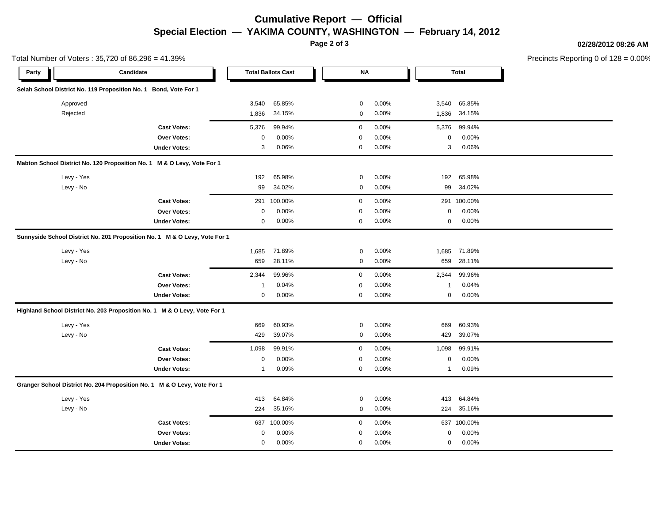## **Cumulative Report — Official Special Election — YAKIMA COUNTY, WASHINGTON — February 14, 2012**

**Page 2 of 3**

**02/28/2012 08:26 AM**

Precincts Reporting 0 of 128 = 0.00%

|            | Total Number of Voters: 35,720 of 86,296 = 41.39%                          |              |                           |             |       |              |              | Precincts Reporting 0 of 1 |
|------------|----------------------------------------------------------------------------|--------------|---------------------------|-------------|-------|--------------|--------------|----------------------------|
| Party      | Candidate                                                                  |              | <b>Total Ballots Cast</b> | <b>NA</b>   |       |              | <b>Total</b> |                            |
|            | Selah School District No. 119 Proposition No. 1 Bond, Vote For 1           |              |                           |             |       |              |              |                            |
| Approved   |                                                                            | 3,540        | 65.85%                    | 0           | 0.00% | 3,540        | 65.85%       |                            |
| Rejected   |                                                                            | 1,836        | 34.15%                    | 0           | 0.00% | 1,836        | 34.15%       |                            |
|            | <b>Cast Votes:</b>                                                         | 5,376        | 99.94%                    | $\mathbf 0$ | 0.00% | 5,376        | 99.94%       |                            |
|            | Over Votes:                                                                | $\mathbf 0$  | 0.00%                     | $\mathbf 0$ | 0.00% | 0            | 0.00%        |                            |
|            | <b>Under Votes:</b>                                                        | 3            | 0.06%                     | $\mathbf 0$ | 0.00% | 3            | 0.06%        |                            |
|            | Mabton School District No. 120 Proposition No. 1 M & O Levy, Vote For 1    |              |                           |             |       |              |              |                            |
| Levy - Yes |                                                                            | 192          | 65.98%                    | 0           | 0.00% | 192          | 65.98%       |                            |
| Levy - No  |                                                                            | 99           | 34.02%                    | 0           | 0.00% | 99           | 34.02%       |                            |
|            | <b>Cast Votes:</b>                                                         | 291          | 100.00%                   | $\mathbf 0$ | 0.00% |              | 291 100.00%  |                            |
|            | Over Votes:                                                                | 0            | 0.00%                     | $\mathbf 0$ | 0.00% | 0            | 0.00%        |                            |
|            | <b>Under Votes:</b>                                                        | $\mathbf 0$  | 0.00%                     | $\mathbf 0$ | 0.00% | 0            | 0.00%        |                            |
|            | Sunnyside School District No. 201 Proposition No. 1 M & O Levy, Vote For 1 |              |                           |             |       |              |              |                            |
| Levy - Yes |                                                                            | 1,685        | 71.89%                    | 0           | 0.00% | 1,685        | 71.89%       |                            |
| Levy - No  |                                                                            | 659          | 28.11%                    | 0           | 0.00% | 659          | 28.11%       |                            |
|            | <b>Cast Votes:</b>                                                         | 2,344        | 99.96%                    | $\mathbf 0$ | 0.00% | 2,344        | 99.96%       |                            |
|            | Over Votes:                                                                | -1           | 0.04%                     | $\mathbf 0$ | 0.00% | 1            | 0.04%        |                            |
|            | <b>Under Votes:</b>                                                        | 0            | 0.00%                     | $\mathbf 0$ | 0.00% | 0            | 0.00%        |                            |
|            | Highland School District No. 203 Proposition No. 1 M & O Levy, Vote For 1  |              |                           |             |       |              |              |                            |
| Levy - Yes |                                                                            | 669          | 60.93%                    | 0           | 0.00% | 669          | 60.93%       |                            |
| Levy - No  |                                                                            | 429          | 39.07%                    | 0           | 0.00% | 429          | 39.07%       |                            |
|            | <b>Cast Votes:</b>                                                         | 1,098        | 99.91%                    | $\mathbf 0$ | 0.00% | 1,098        | 99.91%       |                            |
|            | Over Votes:                                                                | $\mathbf 0$  | 0.00%                     | $\mathbf 0$ | 0.00% | 0            | 0.00%        |                            |
|            | <b>Under Votes:</b>                                                        | $\mathbf{1}$ | 0.09%                     | $\mathbf 0$ | 0.00% | $\mathbf{1}$ | 0.09%        |                            |
|            | Granger School District No. 204 Proposition No. 1 M & O Levy, Vote For 1   |              |                           |             |       |              |              |                            |
| Levy - Yes |                                                                            | 413          | 64.84%                    | 0           | 0.00% | 413          | 64.84%       |                            |
| Levy - No  |                                                                            | 224          | 35.16%                    | 0           | 0.00% | 224          | 35.16%       |                            |
|            | <b>Cast Votes:</b>                                                         |              | 637 100.00%               | $\mathbf 0$ | 0.00% |              | 637 100.00%  |                            |
|            | Over Votes:                                                                | 0            | 0.00%                     | 0           | 0.00% | 0            | 0.00%        |                            |
|            | <b>Under Votes:</b>                                                        | 0            | 0.00%                     | $\mathbf 0$ | 0.00% | 0            | 0.00%        |                            |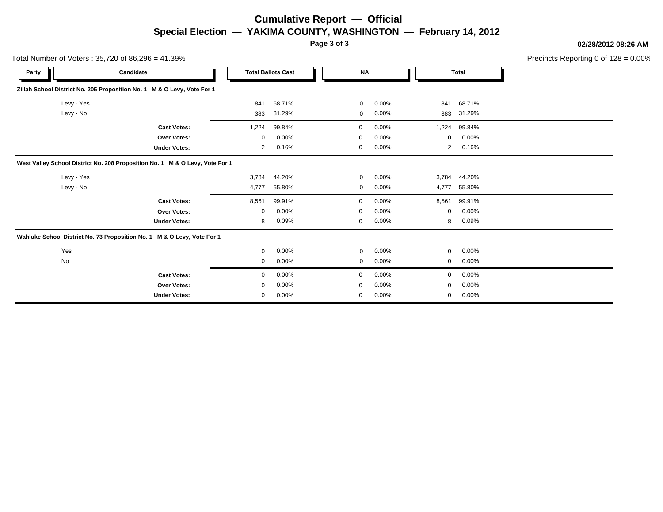## **Cumulative Report — Official Special Election — YAKIMA COUNTY, WASHINGTON — February 14, 2012**

**Page 3 of 3**

**02/28/2012 08:26 AM**

Precincts Reporting 0 of 128 = 0.00%

|            | Total Number of Voters: 35,720 of 86,296 = 41.39%                            |       |                           |             |          |                |              | Precincts Reporting 0 of 1: |
|------------|------------------------------------------------------------------------------|-------|---------------------------|-------------|----------|----------------|--------------|-----------------------------|
| Party      | Candidate                                                                    |       | <b>Total Ballots Cast</b> | <b>NA</b>   |          |                | <b>Total</b> |                             |
|            | Zillah School District No. 205 Proposition No. 1 M & O Levy, Vote For 1      |       |                           |             |          |                |              |                             |
| Levy - Yes |                                                                              | 841   | 68.71%                    | $\mathbf 0$ | 0.00%    | 841            | 68.71%       |                             |
| Levy - No  |                                                                              | 383   | 31.29%                    | 0           | 0.00%    | 383            | 31.29%       |                             |
|            | <b>Cast Votes:</b>                                                           | 1,224 | 99.84%                    | 0           | $0.00\%$ | 1,224          | 99.84%       |                             |
|            | Over Votes:                                                                  | 0     | 0.00%                     | $\Omega$    | 0.00%    | $\Omega$       | 0.00%        |                             |
|            | <b>Under Votes:</b>                                                          | 2     | 0.16%                     | 0           | 0.00%    | $\overline{2}$ | 0.16%        |                             |
|            | West Valley School District No. 208 Proposition No. 1 M & O Levy, Vote For 1 |       |                           |             |          |                |              |                             |
| Levy - Yes |                                                                              | 3,784 | 44.20%                    | $\mathbf 0$ | 0.00%    |                | 3,784 44.20% |                             |
| Levy - No  |                                                                              | 4,777 | 55.80%                    | $\mathbf 0$ | 0.00%    | 4,777          | 55.80%       |                             |
|            | <b>Cast Votes:</b>                                                           | 8,561 | 99.91%                    | 0           | $0.00\%$ | 8,561          | 99.91%       |                             |
|            | <b>Over Votes:</b>                                                           | 0     | 0.00%                     | $\mathbf 0$ | 0.00%    | 0              | 0.00%        |                             |
|            | <b>Under Votes:</b>                                                          | 8     | 0.09%                     | 0           | 0.00%    | 8              | 0.09%        |                             |
|            | Wahluke School District No. 73 Proposition No. 1 M & O Levy, Vote For 1      |       |                           |             |          |                |              |                             |
| Yes        |                                                                              | 0     | 0.00%                     | $\mathbf 0$ | 0.00%    | 0              | 0.00%        |                             |
| No         |                                                                              | 0     | 0.00%                     | $\mathbf 0$ | 0.00%    | 0              | 0.00%        |                             |
|            | <b>Cast Votes:</b>                                                           | 0     | 0.00%                     | 0           | 0.00%    | 0              | 0.00%        |                             |
|            | <b>Over Votes:</b>                                                           | 0     | 0.00%                     | $\Omega$    | 0.00%    | $\Omega$       | 0.00%        |                             |
|            | <b>Under Votes:</b>                                                          | 0     | 0.00%                     | 0           | 0.00%    | 0              | 0.00%        |                             |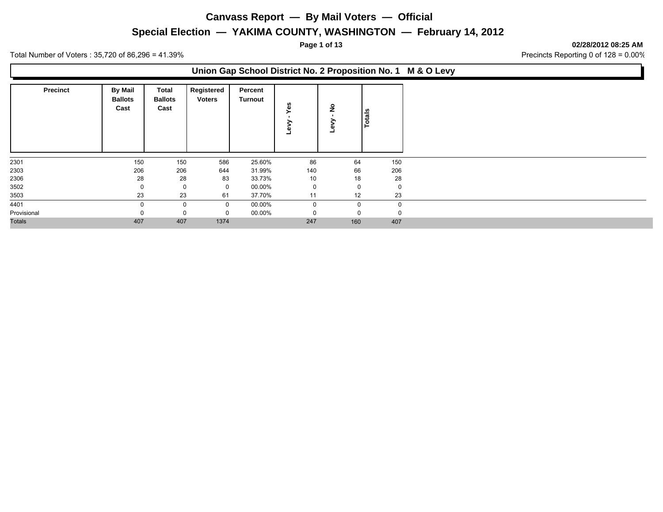### **Special Election — YAKIMA COUNTY, WASHINGTON — February 14, 2012**

**Page 1 of 13 02/28/2012 08:25 AM**

Total Number of Voters : 35,720 of 86,296 = 41.39% Precincts Reporting 0 of 128 = 0.00%

### **Union Gap School District No. 2 Proposition No. 1 M & O Levy**

| <b>Precinct</b> | <b>By Mail</b><br><b>Ballots</b><br>Cast | Total<br><b>Ballots</b><br>Cast | Registered<br><b>Voters</b> | Percent<br>Turnout | es<br>≻<br>┙ | $\frac{1}{2}$<br>×. | Totals   |
|-----------------|------------------------------------------|---------------------------------|-----------------------------|--------------------|--------------|---------------------|----------|
| 2301            | 150                                      | 150                             | 586                         | 25.60%             | 86           | 64                  | 150      |
| 2303            | 206                                      | 206                             | 644                         | 31.99%             | 140          | 66                  | 206      |
| 2306            | 28                                       | 28                              | 83                          | 33.73%             | 10           | 18                  | 28       |
| 3502            |                                          | 0                               | 0                           | 00.00%             | $\mathbf 0$  | $\mathbf 0$         | 0        |
| 3503            | 23                                       | 23                              | 61                          | 37.70%             | 11           | 12                  | 23       |
| 4401            |                                          | 0                               | $\mathbf 0$                 | 00.00%             | 0            | $\Omega$            | $\Omega$ |
| Provisional     |                                          | 0                               | $\Omega$                    | 00.00%             |              | $\Omega$            |          |
| <b>Totals</b>   | 407                                      | 407                             | 1374                        |                    | 247          | 160                 | 407      |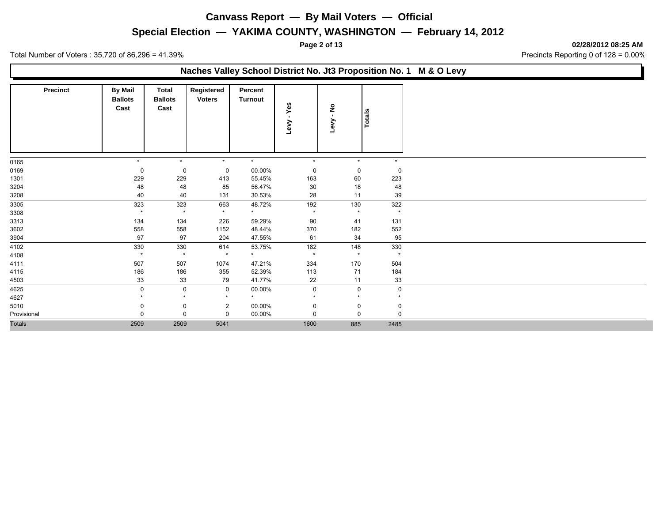### **Special Election — YAKIMA COUNTY, WASHINGTON — February 14, 2012**

**Page 2 of 13 02/28/2012 08:25 AM**

|                 |                                          |                                        |                             | Naches Valley School District No. Jt3 Proposition No. 1 M & O Levy |             |                       |             |
|-----------------|------------------------------------------|----------------------------------------|-----------------------------|--------------------------------------------------------------------|-------------|-----------------------|-------------|
| <b>Precinct</b> | <b>By Mail</b><br><b>Ballots</b><br>Cast | <b>Total</b><br><b>Ballots</b><br>Cast | Registered<br><b>Voters</b> | Percent<br><b>Turnout</b>                                          | Yes<br>Levy | $\frac{1}{2}$<br>Levy | Totals      |
| 0165            | $\star$                                  | $\star$                                | $\star$                     | $\star$                                                            | $\star$     | $\star$               | $\star$     |
| 0169            | 0                                        | 0                                      | 0                           | 00.00%                                                             | 0           | 0                     | $\mathbf 0$ |
| 1301            | 229                                      | 229                                    | 413                         | 55.45%                                                             | 163         | 60                    | 223         |
| 3204            | 48                                       | 48                                     | 85                          | 56.47%                                                             | 30          | 18                    | 48          |
| 3208            | 40                                       | 40                                     | 131                         | 30.53%                                                             | 28          | 11                    | 39          |
| 3305            | 323                                      | 323                                    | 663                         | 48.72%                                                             | 192         | 130                   | 322         |
| 3308            | $\star$                                  | $\star$                                | $\star$                     | $\star$                                                            | $\star$     | $\star$               | $\star$     |
| 3313            | 134                                      | 134                                    | 226                         | 59.29%                                                             | 90          | 41                    | 131         |
| 3602            | 558                                      | 558                                    | 1152                        | 48.44%                                                             | 370         | 182                   | 552         |
| 3904            | 97                                       | 97                                     | 204                         | 47.55%                                                             | 61          | 34                    | 95          |
| 4102            | 330                                      | 330                                    | 614                         | 53.75%                                                             | 182         | 148                   | 330         |
| 4108            | $\star$                                  | $\star$                                | $\star$                     | $\star$                                                            | $\star$     | $\star$               | $\star$     |
| 4111            | 507                                      | 507                                    | 1074                        | 47.21%                                                             | 334         | 170                   | 504         |
| 4115            | 186                                      | 186                                    | 355                         | 52.39%                                                             | 113         | 71                    | 184         |
| 4503            | 33                                       | 33                                     | 79                          | 41.77%                                                             | 22          | 11                    | 33          |
| 4625            | 0                                        | 0                                      | 0                           | 00.00%                                                             | 0           | 0                     | $\mathbf 0$ |
| 4627            |                                          | $\star$                                |                             | $\star$                                                            |             | $\star$               |             |
| 5010            |                                          | 0                                      | 2                           | 00.00%                                                             | 0           | 0                     | 0           |
| Provisional     |                                          | 0                                      | $\mathbf 0$                 | 00.00%                                                             | $\Omega$    | $\Omega$              | $\Omega$    |
| <b>Totals</b>   | 2509                                     | 2509                                   | 5041                        |                                                                    | 1600        | 885                   | 2485        |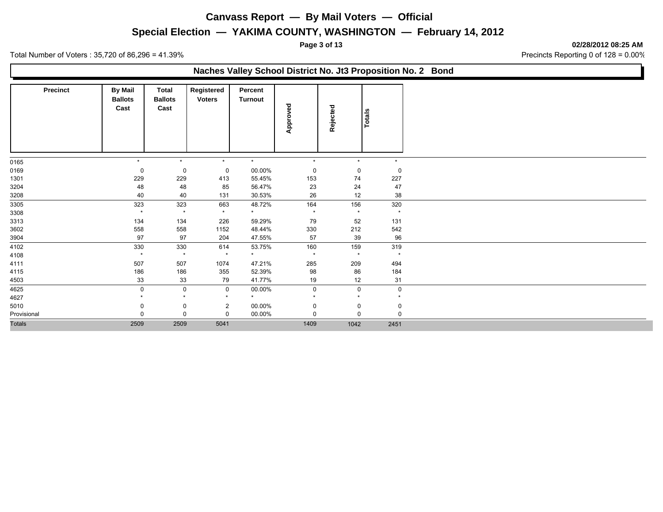## **Special Election — YAKIMA COUNTY, WASHINGTON — February 14, 2012**

**Page 3 of 13 02/28/2012 08:25 AM**

Total Number of Voters : 35,720 of 86,296 = 41.39% Precincts Reporting 0 of 128 = 0.00%

### **Naches Valley School District No. Jt3 Proposition No. 2 Bond**

| <b>Precinct</b> | <b>By Mail</b><br><b>Ballots</b><br>Cast | Total<br><b>Ballots</b><br>Cast | Registered<br><b>Voters</b> | Percent<br>Turnout | Approved       | Rejected       | Totals              |
|-----------------|------------------------------------------|---------------------------------|-----------------------------|--------------------|----------------|----------------|---------------------|
|                 | $\star$                                  | $\star$                         | $\star$                     | $\star$            | $\star$        | $\star$        | $\star$             |
| 0165            |                                          |                                 |                             |                    |                |                |                     |
| 0169            | 0                                        | 0                               | 0                           | 00.00%             | 0              | $\mathbf 0$    | 0                   |
| 1301            | 229<br>48                                | 229<br>48                       | 413<br>85                   | 55.45%             | 153<br>23      | 74<br>24       | 227<br>47           |
| 3204            | 40                                       | 40                              | 131                         | 56.47%<br>30.53%   | 26             | 12             | 38                  |
| 3208            |                                          |                                 |                             |                    |                |                |                     |
| 3305            | 323<br>$\star$                           | 323<br>$\star$                  | 663<br>$\star$              | 48.72%<br>$\star$  | 164<br>$\star$ | 156<br>$\star$ | 320<br>$\star$      |
| 3308<br>3313    | 134                                      | 134                             | 226                         | 59.29%             | 79             | 52             | 131                 |
| 3602            | 558                                      | 558                             | 1152                        | 48.44%             | 330            | 212            | 542                 |
|                 | 97                                       | 97                              | 204                         | 47.55%             | 57             | 39             | 96                  |
| 3904<br>4102    | 330                                      | 330                             | 614                         | 53.75%             | 160            | 159            | 319                 |
| 4108            | $\star$                                  | $\star$                         | $\star$                     | $\star$            | $\star$        | $\star$        | $\star$             |
| 4111            | 507                                      | 507                             | 1074                        | 47.21%             | 285            | 209            | 494                 |
| 4115            | 186                                      | 186                             | 355                         | 52.39%             | 98             | 86             | 184                 |
| 4503            | 33                                       | 33                              | 79                          | 41.77%             | 19             | 12             | 31                  |
| 4625            | 0                                        | $\mathbf 0$                     | $\mathbf 0$                 | 00.00%             | 0              | $\mathbf 0$    | $\mathsf{O}\xspace$ |
| 4627            |                                          | $\star$                         | $\star$                     | $\star$            | $\star$        | $\star$        | $\star$             |
| 5010            | 0                                        | 0                               | $\overline{2}$              | 00.00%             | $\Omega$       | 0              | 0                   |
| Provisional     | 0                                        | 0                               | $\Omega$                    | 00.00%             | $\Omega$       | $\Omega$       | $\mathbf 0$         |
| <b>Totals</b>   | 2509                                     | 2509                            | 5041                        |                    | 1409           | 1042           | 2451                |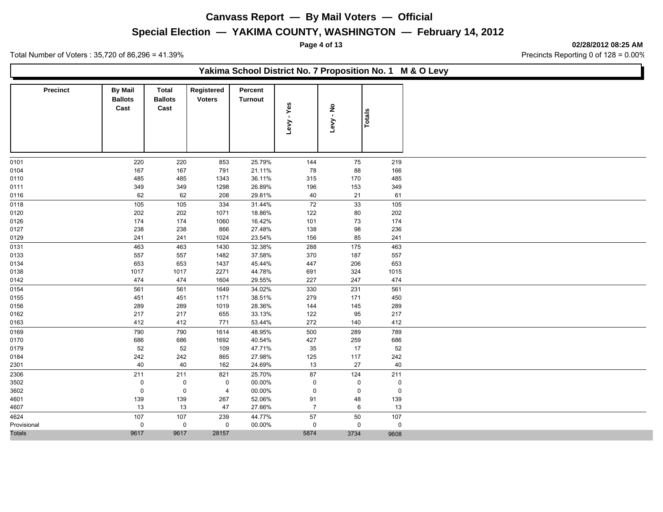### **Special Election — YAKIMA COUNTY, WASHINGTON — February 14, 2012**

**Page 4 of 13 02/28/2012 08:25 AM**

|                 |                                          |                                        |                             |                           |                |             |             | Yakima School District No. 7 Proposition No. 1 M & O Levy |
|-----------------|------------------------------------------|----------------------------------------|-----------------------------|---------------------------|----------------|-------------|-------------|-----------------------------------------------------------|
| <b>Precinct</b> | <b>By Mail</b><br><b>Ballots</b><br>Cast | <b>Total</b><br><b>Ballots</b><br>Cast | Registered<br><b>Voters</b> | Percent<br><b>Turnout</b> | - Yes<br>Levy  | ەk.<br>Levy | Totals      |                                                           |
| 0101            | 220                                      | 220                                    | 853                         | 25.79%                    | 144            | 75          | 219         |                                                           |
| 0104            | 167                                      | 167                                    | 791                         | 21.11%                    | 78             | 88          | 166         |                                                           |
| 0110            | 485                                      | 485                                    | 1343                        | 36.11%                    | 315            | 170         | 485         |                                                           |
| 0111            | 349                                      | 349                                    | 1298                        | 26.89%                    | 196            | 153         | 349         |                                                           |
| 0116            | 62                                       | 62                                     | 208                         | 29.81%                    | 40             | 21          | 61          |                                                           |
| 0118            | 105                                      | 105                                    | 334                         | 31.44%                    | 72             | 33          | 105         |                                                           |
| 0120            | 202                                      | 202                                    | 1071                        | 18.86%                    | 122            | 80          | 202         |                                                           |
| 0126            | 174                                      | 174                                    | 1060                        | 16.42%                    | 101            | 73          | 174         |                                                           |
| 0127            | 238                                      | 238                                    | 866                         | 27.48%                    | 138            | 98          | 236         |                                                           |
| 0129            | 241                                      | 241                                    | 1024                        | 23.54%                    | 156            | 85          | 241         |                                                           |
| 0131            | 463                                      | 463                                    | 1430                        | 32.38%                    | 288            | 175         | 463         |                                                           |
| 0133            | 557                                      | 557                                    | 1482                        | 37.58%                    | 370            | 187         | 557         |                                                           |
| 0134            | 653                                      | 653                                    | 1437                        | 45.44%                    | 447            | 206         | 653         |                                                           |
| 0138            | 1017                                     | 1017                                   | 2271                        | 44.78%                    | 691            | 324         | 1015        |                                                           |
| 0142            | 474                                      | 474                                    | 1604                        | 29.55%                    | 227            | 247         | 474         |                                                           |
| 0154            | 561                                      | 561                                    | 1649                        | 34.02%                    | 330            | 231         | 561         |                                                           |
| 0155            | 451                                      | 451                                    | 1171                        | 38.51%                    | 279            | 171         | 450         |                                                           |
| 0156            | 289                                      | 289                                    | 1019                        | 28.36%                    | 144            | 145         | 289         |                                                           |
| 0162            | 217                                      | 217                                    | 655                         | 33.13%                    | 122            | 95          | 217         |                                                           |
| 0163            | 412                                      | 412                                    | 771                         | 53.44%                    | 272            | 140         | 412         |                                                           |
| 0169            | 790                                      | 790                                    | 1614                        | 48.95%                    | 500            | 289         | 789         |                                                           |
| 0170            | 686                                      | 686                                    | 1692                        | 40.54%                    | 427            | 259         | 686         |                                                           |
| 0179            | 52                                       | 52                                     | 109                         | 47.71%                    | 35             | 17          | 52          |                                                           |
| 0184            | 242                                      | 242                                    | 865                         | 27.98%                    | 125            | 117         | 242         |                                                           |
| 2301            | 40                                       | 40                                     | 162                         | 24.69%                    | 13             | 27          | 40          |                                                           |
| 2306            | 211                                      | 211                                    | 821                         | 25.70%                    | 87             | 124         | 211         |                                                           |
| 3502            | 0                                        | $\mathbf 0$                            | $\mathbf 0$                 | 00.00%                    | $\mathbf 0$    | 0           | $\mathbf 0$ |                                                           |
| 3602            | $\mathsf 0$                              | $\mathbf 0$                            | $\overline{4}$              | 00.00%                    | $\mathbf 0$    | 0           | $\mathbf 0$ |                                                           |
| 4601            | 139                                      | 139                                    | 267                         | 52.06%                    | 91             | 48          | 139         |                                                           |
| 4607            | 13                                       | 13                                     | 47                          | 27.66%                    | $\overline{7}$ | 6           | 13          |                                                           |
| 4624            | 107                                      | 107                                    | 239                         | 44.77%                    | 57             | $50\,$      | 107         |                                                           |
| Provisional     | $\mathbf 0$                              | $\mathbf 0$                            | 0                           | 00.00%                    | 0              | 0           | $\pmb{0}$   |                                                           |
| Totals          | 9617                                     | 9617                                   | 28157                       |                           | 5874           | 3734        | 9608        |                                                           |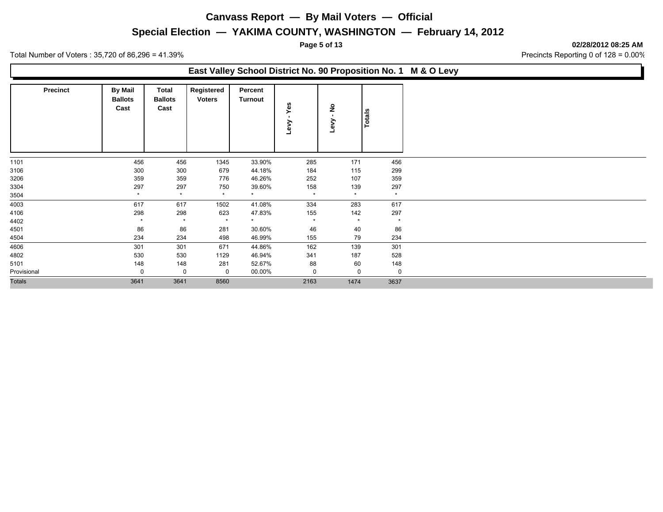### **Special Election — YAKIMA COUNTY, WASHINGTON — February 14, 2012**

**Page 5 of 13 02/28/2012 08:25 AM**

Total Number of Voters : 35,720 of 86,296 = 41.39% Precincts Reporting 0 of 128 = 0.00%

### **East Valley School District No. 90 Proposition No. 1 M & O Levy**

| <b>Precinct</b> | <b>By Mail</b><br><b>Ballots</b><br>Cast | Total<br><b>Ballots</b><br>Cast | Registered<br><b>Voters</b> | Percent<br>Turnout | Yes<br><b>Ver</b> | $\frac{1}{2}$<br>Levy | Totals  |
|-----------------|------------------------------------------|---------------------------------|-----------------------------|--------------------|-------------------|-----------------------|---------|
| 1101            | 456                                      | 456                             | 1345                        | 33.90%             | 285               | 171                   | 456     |
| 3106            | 300                                      | 300                             | 679                         | 44.18%             | 184               | 115                   | 299     |
| 3206            | 359                                      | 359                             | 776                         | 46.26%             | 252               | 107                   | 359     |
| 3304            | 297                                      | 297                             | 750                         | 39.60%             | 158               | 139                   | 297     |
| 3504            | $\star$                                  | $\star$                         | $\star$                     | $\star$            | $\star$           | $\star$               | $\star$ |
| 4003            | 617                                      | 617                             | 1502                        | 41.08%             | 334               | 283                   | 617     |
| 4106            | 298                                      | 298                             | 623                         | 47.83%             | 155               | 142                   | 297     |
| 4402            | $\star$                                  | $\star$                         | $\star$                     | $\star$            | $\star$           | $\star$               | $\star$ |
| 4501            | 86                                       | 86                              | 281                         | 30.60%             | 46                | 40                    | 86      |
| 4504            | 234                                      | 234                             | 498                         | 46.99%             | 155               | 79                    | 234     |
| 4606            | 301                                      | 301                             | 671                         | 44.86%             | 162               | 139                   | 301     |
| 4802            | 530                                      | 530                             | 1129                        | 46.94%             | 341               | 187                   | 528     |
| 5101            | 148                                      | 148                             | 281                         | 52.67%             | 88                | 60                    | 148     |
| Provisional     | 0                                        | 0                               | $\mathbf 0$                 | 00.00%             | 0                 | 0                     | 0       |
| <b>Totals</b>   | 3641                                     | 3641                            | 8560                        |                    | 2163              | 1474                  | 3637    |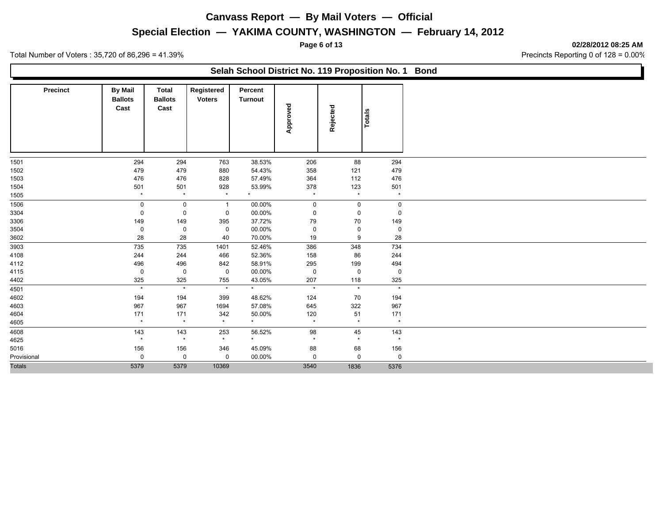### **Special Election — YAKIMA COUNTY, WASHINGTON — February 14, 2012**

**Page 6 of 13 02/28/2012 08:25 AM**

|                 |                                          |                                        |                             | Selah School District No. 119 Proposition No. 1 |          |             |             |
|-----------------|------------------------------------------|----------------------------------------|-----------------------------|-------------------------------------------------|----------|-------------|-------------|
| <b>Precinct</b> | <b>By Mail</b><br><b>Ballots</b><br>Cast | <b>Total</b><br><b>Ballots</b><br>Cast | Registered<br><b>Voters</b> | Percent<br><b>Turnout</b>                       | Approved | Rejected    | Totals      |
|                 | 294                                      | 294                                    | 763                         | 38.53%                                          | 206      | 88          | 294         |
| 1501<br>1502    | 479                                      | 479                                    | 880                         | 54.43%                                          | 358      | 121         | 479         |
| 1503            | 476                                      | 476                                    | 828                         | 57.49%                                          | 364      | 112         | 476         |
| 1504            | 501                                      | 501                                    | 928                         | 53.99%                                          | 378      | 123         | 501         |
| 1505            | $\star$                                  | $\star$                                | $\star$                     | $\star$                                         | $\star$  | $\star$     | $\star$     |
| 1506            | $\mathbf 0$                              | 0                                      | $\mathbf{1}$                | 00.00%                                          | 0        | 0           | $\mathbf 0$ |
| 3304            | 0                                        | $\mathbf 0$                            | $\mathbf 0$                 | 00.00%                                          | 0        | $\mathbf 0$ | $\mathbf 0$ |
| 3306            | 149                                      | 149                                    | 395                         | 37.72%                                          | 79       | 70          | 149         |
| 3504            | $\mathbf 0$                              | 0                                      | $\mathbf 0$                 | 00.00%                                          | 0        | 0           | $\mathbf 0$ |
| 3602            | 28                                       | 28                                     | 40                          | 70.00%                                          | 19       | 9           | 28          |
| 3903            | 735                                      | 735                                    | 1401                        | 52.46%                                          | 386      | 348         | 734         |
| 4108            | 244                                      | 244                                    | 466                         | 52.36%                                          | 158      | 86          | 244         |
| 4112            | 496                                      | 496                                    | 842                         | 58.91%                                          | 295      | 199         | 494         |
| 4115            | $\mathbf 0$                              | $\mathbf 0$                            | $\mathbf 0$                 | 00.00%                                          | 0        | $\mathbf 0$ | $\mathbf 0$ |
| 4402            | 325                                      | 325                                    | 755                         | 43.05%                                          | 207      | 118         | 325         |
| 4501            | $\star$                                  | $\star$                                | $\star$                     | $\star$                                         | $\star$  | $\star$     | $\star$     |
| 4602            | 194                                      | 194                                    | 399                         | 48.62%                                          | 124      | 70          | 194         |
| 4603            | 967                                      | 967                                    | 1694                        | 57.08%                                          | 645      | 322         | 967         |
| 4604            | 171                                      | 171                                    | 342                         | 50.00%                                          | 120      | 51          | 171         |
| 4605            | $\star$                                  | $\star$                                | $\star$                     | $\star$                                         | $\star$  | $\star$     | $\star$     |
| 4608            | 143                                      | 143                                    | 253                         | 56.52%                                          | 98       | 45          | 143         |
| 4625            | $\star$                                  | $\star$                                | $\star$                     | $\star$                                         | $\star$  | $\star$     | $\star$     |
| 5016            | 156                                      | 156                                    | 346                         | 45.09%                                          | 88       | 68          | 156         |
| Provisional     | 0                                        | 0                                      | 0                           | 00.00%                                          | 0        | $\mathbf 0$ | $\mathbf 0$ |
| <b>Totals</b>   | 5379                                     | 5379                                   | 10369                       |                                                 | 3540     | 1836        | 5376        |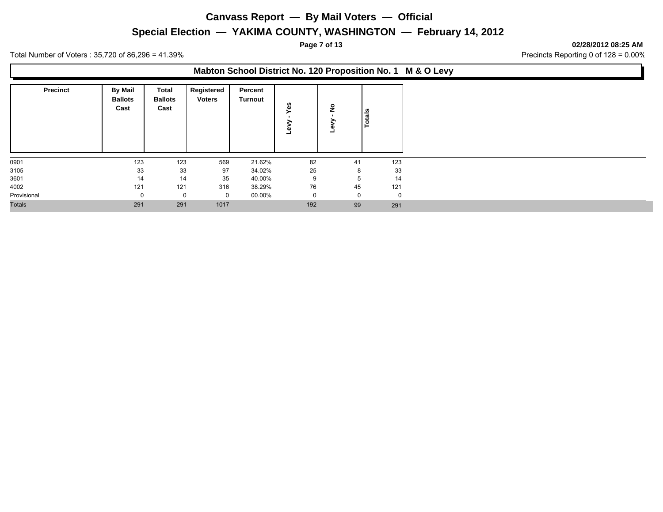## **Special Election — YAKIMA COUNTY, WASHINGTON — February 14, 2012**

**Page 7 of 13 02/28/2012 08:25 AM**

Total Number of Voters : 35,720 of 86,296 = 41.39% Precincts Reporting 0 of 128 = 0.00%

### **Mabton School District No. 120 Proposition No. 1 M & O Levy**

| <b>Precinct</b> | <b>By Mail</b><br><b>Ballots</b><br>Cast | Total<br><b>Ballots</b><br>Cast | Registered<br><b>Voters</b> | Percent<br><b>Turnout</b> | Yes<br>Φ | ۽        | otals |
|-----------------|------------------------------------------|---------------------------------|-----------------------------|---------------------------|----------|----------|-------|
| 0901            | 123                                      | 123                             | 569                         | 21.62%                    | 82       | 41       | 123   |
| 3105            | 33                                       | 33                              | 97                          | 34.02%                    | 25       | 8        | 33    |
| 3601            | 14                                       | 14                              | 35                          | 40.00%                    | 9        | b.       | 14    |
| 4002            | 121                                      | 121                             | 316                         | 38.29%                    | 76       | 45       | 121   |
| Provisional     | 0                                        | 0                               | 0                           | 00.00%                    |          | $\Omega$ | 0     |
| <b>Totals</b>   | 291                                      | 291                             | 1017                        |                           | 192      | 99       | 291   |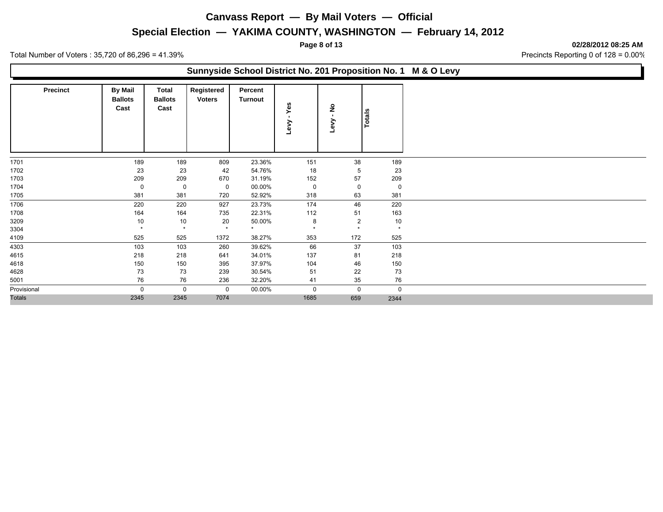### **Special Election — YAKIMA COUNTY, WASHINGTON — February 14, 2012**

**Page 8 of 13 02/28/2012 08:25 AM**

Total Number of Voters : 35,720 of 86,296 = 41.39% Precincts Reporting 0 of 128 = 0.00%

### **Sunnyside School District No. 201 Proposition No. 1 M & O Levy Precinct** | By Mail | Total **Ballots Cast Total Registered Ballots Cast Voters Turnout Percent Totals Levy - Yes Levy - No**

| 189<br>151<br>38<br>189<br>1701<br>189<br>809<br>23.36%<br>18<br>1702<br>23<br>23<br>42<br>54.76%<br>5<br>23<br>57<br>1703<br>209<br>209<br>670<br>152<br>209<br>31.19%<br>1704<br>00.00%<br>0<br>0<br>0<br>0<br>0<br>- 0<br>381<br>381<br>720<br>52.92%<br>318<br>63<br>381<br>1705 |
|--------------------------------------------------------------------------------------------------------------------------------------------------------------------------------------------------------------------------------------------------------------------------------------|
|                                                                                                                                                                                                                                                                                      |
|                                                                                                                                                                                                                                                                                      |
|                                                                                                                                                                                                                                                                                      |
|                                                                                                                                                                                                                                                                                      |
|                                                                                                                                                                                                                                                                                      |
|                                                                                                                                                                                                                                                                                      |
| 1706<br>220<br>220<br>220<br>927<br>23.73%<br>174<br>46                                                                                                                                                                                                                              |
| 1708<br>164<br>22.31%<br>112<br>51<br>163<br>164<br>735                                                                                                                                                                                                                              |
| 20<br>10<br>3209<br>10<br>10<br>50.00%<br>2<br>8                                                                                                                                                                                                                                     |
| 3304<br>$\star$<br>$\star$<br>$\star$<br>$\star$<br>$\star$<br>$\star$<br>$\star$                                                                                                                                                                                                    |
| 525<br>1372<br>38.27%<br>353<br>172<br>525<br>4109<br>525                                                                                                                                                                                                                            |
| 4303<br>37<br>103<br>39.62%<br>66<br>103<br>103<br>260                                                                                                                                                                                                                               |
| 4615<br>218<br>34.01%<br>137<br>81<br>218<br>218<br>641                                                                                                                                                                                                                              |
| 4618<br>150<br>150<br>395<br>37.97%<br>46<br>150<br>104                                                                                                                                                                                                                              |
| 4628<br>73<br>51<br>22<br>73<br>73<br>239<br>30.54%                                                                                                                                                                                                                                  |
| 76<br>76<br>76<br>41<br>5001<br>236<br>32.20%<br>35                                                                                                                                                                                                                                  |
| Provisional<br>$\Omega$<br>00.00%<br>$\mathbf 0$<br>$\Omega$<br>$\Omega$<br>$\mathbf 0$<br>$\mathbf 0$                                                                                                                                                                               |
| <b>Totals</b><br>1685<br>2345<br>2345<br>7074<br>659<br>2344                                                                                                                                                                                                                         |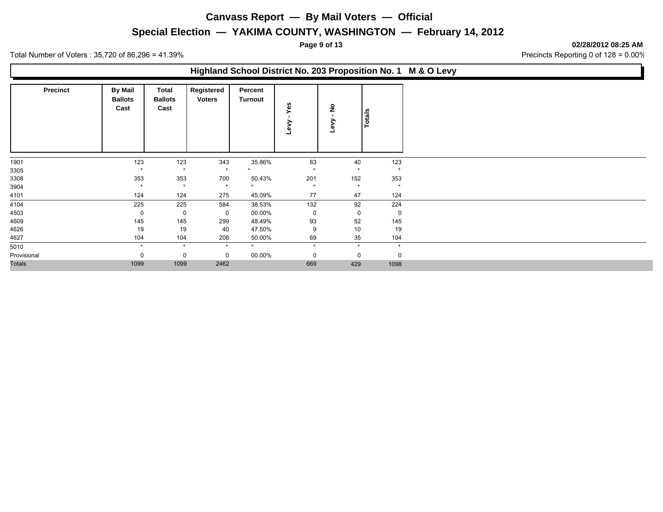### **Special Election — YAKIMA COUNTY, WASHINGTON — February 14, 2012**

**Page 9 of 13 02/28/2012 08:25 AM**

Total Number of Voters : 35,720 of 86,296 = 41.39% Precincts Reporting 0 of 128 = 0.00%

# **Highland School District No. 203 Proposition No. 1 M & O Levy**

| <b>Precinct</b> | <b>By Mail</b><br><b>Ballots</b><br>Cast | <b>Total</b><br><b>Ballots</b><br>Cast | Registered<br><b>Voters</b> | Percent<br>Turnout | Yes<br>Λeη  | ş<br>چ  | Totals      |
|-----------------|------------------------------------------|----------------------------------------|-----------------------------|--------------------|-------------|---------|-------------|
| 1901            | 123                                      | 123                                    | 343                         | 35.86%             | 83          | 40      | 123         |
| 3305            | $\star$                                  | $\star$                                | $\star$                     |                    | $\star$     | $\star$ | $\star$     |
| 3308            | 353                                      | 353                                    | 700                         | 50.43%             | 201         | 152     | 353         |
| 3904            | $\star$                                  | $\star$                                | $\star$                     | $\star$            | $\star$     | $\star$ | $\star$     |
| 4101            | 124                                      | 124                                    | 275                         | 45.09%             | 77          | 47      | 124         |
| 4104            | 225                                      | 225                                    | 584                         | 38.53%             | 132         | 92      | 224         |
| 4503            | 0                                        | 0                                      | 0                           | 00.00%             | 0           | 0       | $\mathbf 0$ |
| 4609            | 145                                      | 145                                    | 299                         | 48.49%             | 93          | 52      | 145         |
| 4626            | 19                                       | 19                                     | 40                          | 47.50%             | 9           | 10      | 19          |
| 4627            | 104                                      | 104                                    | 208                         | 50.00%             | 69          | 35      | 104         |
| 5010            | $\star$                                  | $\star$                                | $\star$                     | $\star$            | $\star$     | $\star$ | $\star$     |
| Provisional     | $\Omega$                                 | 0                                      | 0                           | 00.00%             | $\mathbf 0$ | 0       | $\mathbf 0$ |
| <b>Totals</b>   | 1099                                     | 1099                                   | 2462                        |                    | 669         | 429     | 1098        |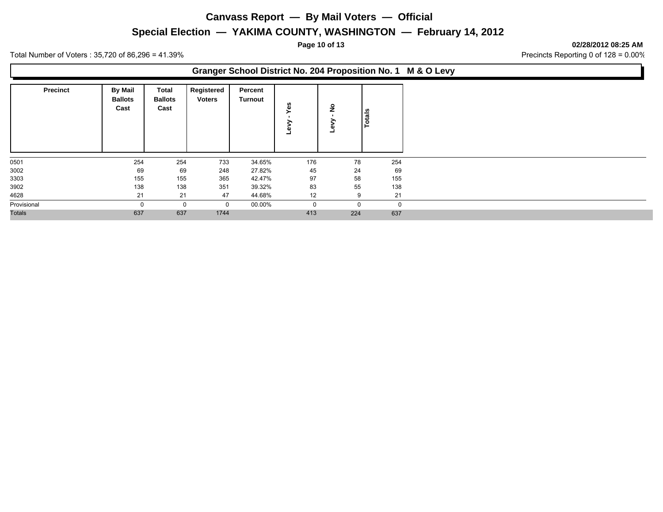### **Special Election — YAKIMA COUNTY, WASHINGTON — February 14, 2012**

**Page 10 of 13 02/28/2012 08:25 AM**

Total Number of Voters : 35,720 of 86,296 = 41.39% Precincts Reporting 0 of 128 = 0.00%

### **Granger School District No. 204 Proposition No. 1 M & O Levy**

| <b>Precinct</b> | <b>By Mail</b><br><b>Ballots</b><br>Cast | <b>Total</b><br><b>Ballots</b><br>Cast | Registered<br><b>Voters</b> | Percent<br><b>Turnout</b> | Yes<br>⋗<br>><br>$\omega$ | $\frac{9}{2}$ | Totals |
|-----------------|------------------------------------------|----------------------------------------|-----------------------------|---------------------------|---------------------------|---------------|--------|
| 0501            | 254                                      | 254                                    | 733                         | 34.65%                    | 176                       | 78            | 254    |
| 3002            | 69                                       | 69                                     | 248                         | 27.82%                    | 45                        | 24            | 69     |
| 3303            | 155                                      | 155                                    | 365                         | 42.47%                    | 97                        | 58            | 155    |
| 3902            | 138                                      | 138                                    | 351                         | 39.32%                    | 83                        | 55            | 138    |
| 4628            | 21                                       | 21                                     | 47                          | 44.68%                    | 12                        | 9             | 21     |
| Provisional     |                                          | 0                                      | 0                           | 00.00%                    | $\mathbf 0$               |               |        |
| <b>Totals</b>   | 637                                      | 637                                    | 1744                        |                           | 413                       | 224           | 637    |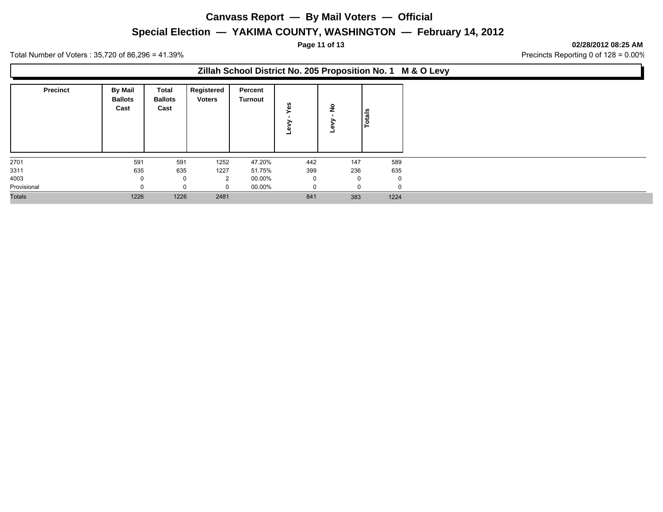### **Special Election — YAKIMA COUNTY, WASHINGTON — February 14, 2012**

**Page 11 of 13 02/28/2012 08:25 AM**

Total Number of Voters : 35,720 of 86,296 = 41.39% Precincts Reporting 0 of 128 = 0.00%

### **Zillah School District No. 205 Proposition No. 1 M & O Levy**

| <b>Precinct</b> | By Mail<br><b>Ballots</b><br>Cast | Total<br><b>Ballots</b><br>Cast | Registered<br><b>Voters</b> | Percent<br><b>Turnout</b> | w<br>Φ<br>C)<br>- | <u>ੁ</u> | otals |
|-----------------|-----------------------------------|---------------------------------|-----------------------------|---------------------------|-------------------|----------|-------|
| 2701            | 591                               | 591                             | 1252                        | 47.20%                    | 442               | 147      | 589   |
| 3311            | 635                               | 635                             | 1227                        | 51.75%                    | 399               | 236      | 635   |
| 4003            | 0                                 | 0                               | $\overline{2}$              | 00.00%                    | $\Omega$          |          |       |
| Provisional     | $\Omega$                          | 0                               |                             | 00.00%                    | $\Omega$          |          |       |
| <b>Totals</b>   | 1226                              | 1226                            | 2481                        |                           | 841               | 383      | 1224  |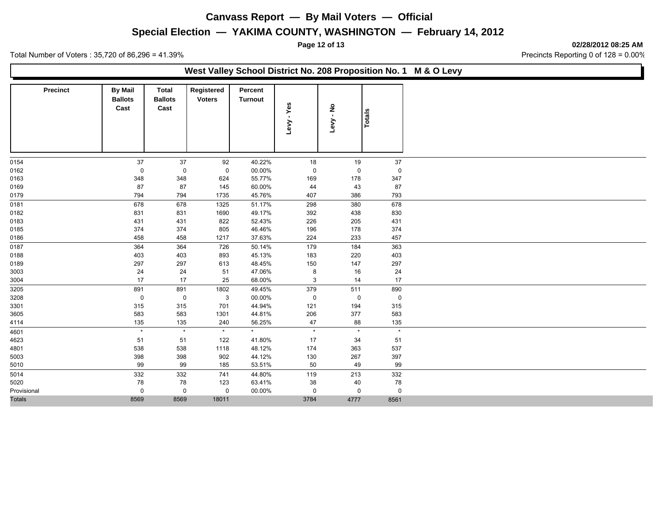### **Special Election — YAKIMA COUNTY, WASHINGTON — February 14, 2012**

**Page 12 of 13 02/28/2012 08:25 AM**

Ъ

|                 |                                          |                                        |                             |                           |             |                   |             | West Valley School District No. 208 Proposition No. 1 M & O Levy |
|-----------------|------------------------------------------|----------------------------------------|-----------------------------|---------------------------|-------------|-------------------|-------------|------------------------------------------------------------------|
| <b>Precinct</b> | <b>By Mail</b><br><b>Ballots</b><br>Cast | <b>Total</b><br><b>Ballots</b><br>Cast | Registered<br><b>Voters</b> | Percent<br><b>Turnout</b> | Yes<br>Levy | ۽<br>ڊ<br>Levy    | Totals      |                                                                  |
| 0154            |                                          |                                        |                             | 40.22%                    |             |                   | 37          |                                                                  |
| 0162            | 37<br>0                                  | 37<br>$\mathbf 0$                      | 92<br>$\mathbf 0$           | 00.00%                    | 18<br>0     | 19<br>$\mathbf 0$ | $\mathbf 0$ |                                                                  |
| 0163            | 348                                      | 348                                    | 624                         | 55.77%                    | 169         | 178               | 347         |                                                                  |
| 0169            | 87                                       | 87                                     | 145                         | 60.00%                    | 44          | 43                | 87          |                                                                  |
| 0179            | 794                                      | 794                                    | 1735                        | 45.76%                    | 407         | 386               | 793         |                                                                  |
| 0181            | 678                                      | 678                                    | 1325                        | 51.17%                    | 298         | 380               | 678         |                                                                  |
| 0182            | 831                                      | 831                                    | 1690                        | 49.17%                    | 392         | 438               | 830         |                                                                  |
| 0183            | 431                                      | 431                                    | 822                         | 52.43%                    | 226         | 205               | 431         |                                                                  |
| 0185            | 374                                      | 374                                    | 805                         | 46.46%                    | 196         | 178               | 374         |                                                                  |
| 0186            | 458                                      | 458                                    | 1217                        | 37.63%                    | 224         | 233               | 457         |                                                                  |
| 0187            | 364                                      | 364                                    | 726                         | 50.14%                    | 179         | 184               | 363         |                                                                  |
| 0188            | 403                                      | 403                                    | 893                         | 45.13%                    | 183         | 220               | 403         |                                                                  |
| 0189            | 297                                      | 297                                    | 613                         | 48.45%                    | 150         | 147               | 297         |                                                                  |
| 3003            | 24                                       | 24                                     | 51                          | 47.06%                    | 8           | 16                | 24          |                                                                  |
| 3004            | 17                                       | 17                                     | 25                          | 68.00%                    | 3           | 14                | 17          |                                                                  |
| 3205            | 891                                      | 891                                    | 1802                        | 49.45%                    | 379         | 511               | 890         |                                                                  |
| 3208            | $\mathsf 0$                              | $\mathbf 0$                            | 3                           | 00.00%                    | $\pmb{0}$   | $\mathbf 0$       | $\mathbf 0$ |                                                                  |
| 3301            | 315                                      | 315                                    | 701                         | 44.94%                    | 121         | 194               | 315         |                                                                  |
| 3605            | 583                                      | 583                                    | 1301                        | 44.81%                    | 206         | 377               | 583         |                                                                  |
| 4114            | 135                                      | 135                                    | 240                         | 56.25%                    | 47          | 88                | 135         |                                                                  |
| 4601            | $\star$                                  | $\star$                                | $\star$                     | $\star$                   | $\star$     | $\star$           | $\star$     |                                                                  |
| 4623            | 51                                       | 51                                     | 122                         | 41.80%                    | 17          | 34                | 51          |                                                                  |
| 4801            | 538                                      | 538                                    | 1118                        | 48.12%                    | 174         | 363               | 537         |                                                                  |
| 5003            | 398                                      | 398                                    | 902                         | 44.12%                    | 130         | 267               | 397         |                                                                  |
| 5010            | 99                                       | 99                                     | 185                         | 53.51%                    | 50          | 49                | 99          |                                                                  |
| 5014            | 332                                      | 332                                    | 741                         | 44.80%                    | 119         | 213               | 332         |                                                                  |
| 5020            | 78                                       | 78                                     | 123                         | 63.41%                    | 38          | 40                | 78          |                                                                  |
| Provisional     | 0<br>8569                                | $\mathbf 0$<br>8569                    | 0<br>18011                  | 00.00%                    | 0<br>3784   | $\mathbf 0$       | $\mathbf 0$ |                                                                  |
| Totals          |                                          |                                        |                             |                           |             | 4777              | 8561        |                                                                  |